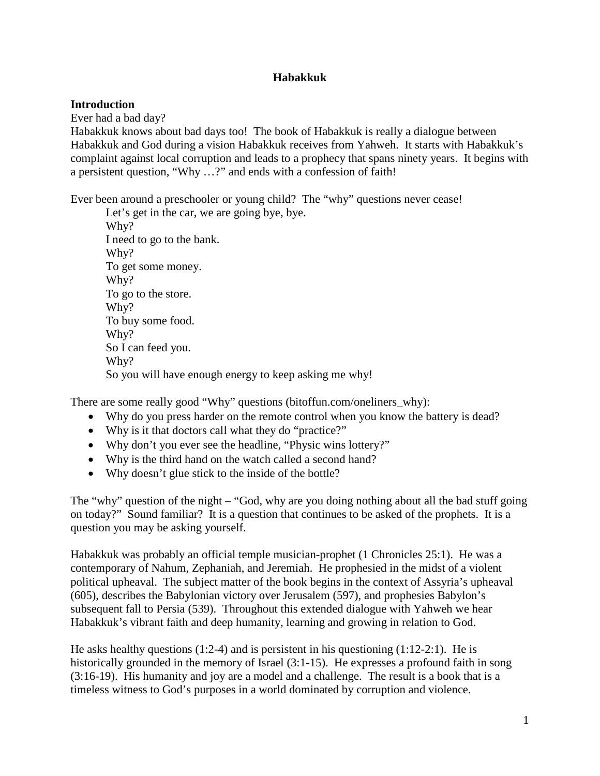### **Habakkuk**

#### **Introduction**

Ever had a bad day?

Habakkuk knows about bad days too! The book of Habakkuk is really a dialogue between Habakkuk and God during a vision Habakkuk receives from Yahweh. It starts with Habakkuk's complaint against local corruption and leads to a prophecy that spans ninety years. It begins with a persistent question, "Why …?" and ends with a confession of faith!

Ever been around a preschooler or young child? The "why" questions never cease!

Let's get in the car, we are going bye, bye. Why? I need to go to the bank. Why? To get some money. Why? To go to the store. Why? To buy some food. Why? So I can feed you. Why? So you will have enough energy to keep asking me why!

There are some really good "Why" questions (bitoffun.com/oneliners\_why):

- Why do you press harder on the remote control when you know the battery is dead?
- Why is it that doctors call what they do "practice?"
- Why don't you ever see the headline, "Physic wins lottery?"
- Why is the third hand on the watch called a second hand?
- Why doesn't glue stick to the inside of the bottle?

The "why" question of the night – "God, why are you doing nothing about all the bad stuff going on today?" Sound familiar? It is a question that continues to be asked of the prophets. It is a question you may be asking yourself.

Habakkuk was probably an official temple musician-prophet (1 Chronicles 25:1). He was a contemporary of Nahum, Zephaniah, and Jeremiah. He prophesied in the midst of a violent political upheaval. The subject matter of the book begins in the context of Assyria's upheaval (605), describes the Babylonian victory over Jerusalem (597), and prophesies Babylon's subsequent fall to Persia (539). Throughout this extended dialogue with Yahweh we hear Habakkuk's vibrant faith and deep humanity, learning and growing in relation to God.

He asks healthy questions (1:2-4) and is persistent in his questioning (1:12-2:1). He is historically grounded in the memory of Israel (3:1-15). He expresses a profound faith in song (3:16-19). His humanity and joy are a model and a challenge. The result is a book that is a timeless witness to God's purposes in a world dominated by corruption and violence.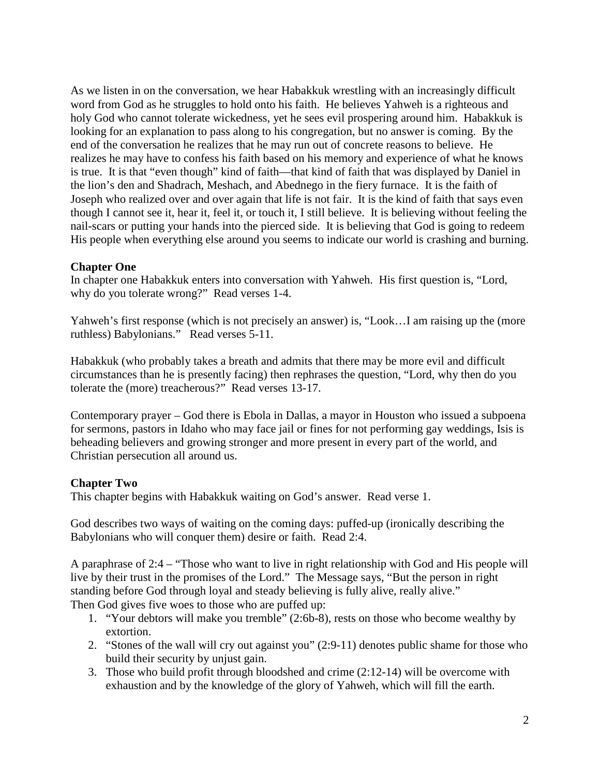As we listen in on the conversation, we hear Habakkuk wrestling with an increasingly difficult word from God as he struggles to hold onto his faith. He believes Yahweh is a righteous and holy God who cannot tolerate wickedness, yet he sees evil prospering around him. Habakkuk is looking for an explanation to pass along to his congregation, but no answer is coming. By the end of the conversation he realizes that he may run out of concrete reasons to believe. He realizes he may have to confess his faith based on his memory and experience of what he knows is true. It is that "even though" kind of faith—that kind of faith that was displayed by Daniel in the lion's den and Shadrach, Meshach, and Abednego in the fiery furnace. It is the faith of Joseph who realized over and over again that life is not fair. It is the kind of faith that says even though I cannot see it, hear it, feel it, or touch it, I still believe. It is believing without feeling the nail-scars or putting your hands into the pierced side. It is believing that God is going to redeem His people when everything else around you seems to indicate our world is crashing and burning.

#### **Chapter One**

In chapter one Habakkuk enters into conversation with Yahweh. His first question is, "Lord, why do you tolerate wrong?" Read verses 1-4.

Yahweh's first response (which is not precisely an answer) is, "Look…I am raising up the (more ruthless) Babylonians." Read verses 5-11.

Habakkuk (who probably takes a breath and admits that there may be more evil and difficult circumstances than he is presently facing) then rephrases the question, "Lord, why then do you tolerate the (more) treacherous?" Read verses 13-17.

Contemporary prayer – God there is Ebola in Dallas, a mayor in Houston who issued a subpoena for sermons, pastors in Idaho who may face jail or fines for not performing gay weddings, Isis is beheading believers and growing stronger and more present in every part of the world, and Christian persecution all around us.

## **Chapter Two**

This chapter begins with Habakkuk waiting on God's answer. Read verse 1.

God describes two ways of waiting on the coming days: puffed-up (ironically describing the Babylonians who will conquer them) desire or faith. Read 2:4.

A paraphrase of 2:4 – "Those who want to live in right relationship with God and His people will live by their trust in the promises of the Lord." The Message says, "But the person in right standing before God through loyal and steady believing is fully alive, really alive." Then God gives five woes to those who are puffed up:

- 1. "Your debtors will make you tremble" (2:6b-8), rests on those who become wealthy by extortion.
- 2. "Stones of the wall will cry out against you" (2:9-11) denotes public shame for those who build their security by unjust gain.
- 3. Those who build profit through bloodshed and crime (2:12-14) will be overcome with exhaustion and by the knowledge of the glory of Yahweh, which will fill the earth.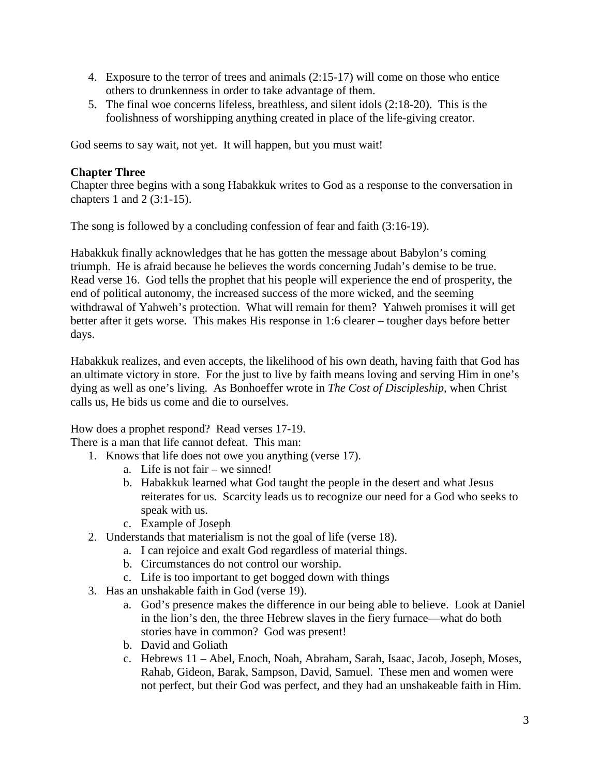- 4. Exposure to the terror of trees and animals (2:15-17) will come on those who entice others to drunkenness in order to take advantage of them.
- 5. The final woe concerns lifeless, breathless, and silent idols (2:18-20). This is the foolishness of worshipping anything created in place of the life-giving creator.

God seems to say wait, not yet. It will happen, but you must wait!

# **Chapter Three**

Chapter three begins with a song Habakkuk writes to God as a response to the conversation in chapters 1 and 2 (3:1-15).

The song is followed by a concluding confession of fear and faith (3:16-19).

Habakkuk finally acknowledges that he has gotten the message about Babylon's coming triumph. He is afraid because he believes the words concerning Judah's demise to be true. Read verse 16. God tells the prophet that his people will experience the end of prosperity, the end of political autonomy, the increased success of the more wicked, and the seeming withdrawal of Yahweh's protection. What will remain for them? Yahweh promises it will get better after it gets worse. This makes His response in 1:6 clearer – tougher days before better days.

Habakkuk realizes, and even accepts, the likelihood of his own death, having faith that God has an ultimate victory in store. For the just to live by faith means loving and serving Him in one's dying as well as one's living. As Bonhoeffer wrote in *The Cost of Discipleship*, when Christ calls us, He bids us come and die to ourselves.

How does a prophet respond? Read verses 17-19.

There is a man that life cannot defeat. This man:

- 1. Knows that life does not owe you anything (verse 17).
	- a. Life is not fair we sinned!
	- b. Habakkuk learned what God taught the people in the desert and what Jesus reiterates for us. Scarcity leads us to recognize our need for a God who seeks to speak with us.
	- c. Example of Joseph
- 2. Understands that materialism is not the goal of life (verse 18).
	- a. I can rejoice and exalt God regardless of material things.
	- b. Circumstances do not control our worship.
	- c. Life is too important to get bogged down with things
- 3. Has an unshakable faith in God (verse 19).
	- a. God's presence makes the difference in our being able to believe. Look at Daniel in the lion's den, the three Hebrew slaves in the fiery furnace—what do both stories have in common? God was present!
	- b. David and Goliath
	- c. Hebrews 11 Abel, Enoch, Noah, Abraham, Sarah, Isaac, Jacob, Joseph, Moses, Rahab, Gideon, Barak, Sampson, David, Samuel. These men and women were not perfect, but their God was perfect, and they had an unshakeable faith in Him.